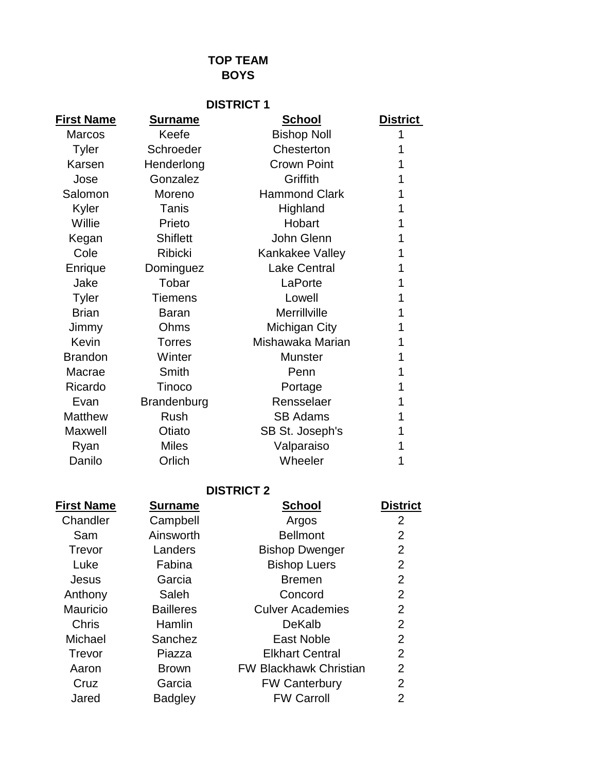# **TOP TEAM BOYS**

| <b>DISTRICT 1</b> |                    |                      |                 |
|-------------------|--------------------|----------------------|-----------------|
| <b>First Name</b> | <b>Surname</b>     | <b>School</b>        | <b>District</b> |
| <b>Marcos</b>     | Keefe              | <b>Bishop Noll</b>   |                 |
| <b>Tyler</b>      | Schroeder          | Chesterton           |                 |
| Karsen            | Henderlong         | <b>Crown Point</b>   |                 |
| Jose              | Gonzalez           | Griffith             |                 |
| Salomon           | Moreno             | <b>Hammond Clark</b> |                 |
| Kyler             | Tanis              | Highland             |                 |
| Willie            | Prieto             | Hobart               |                 |
| Kegan             | <b>Shiflett</b>    | John Glenn           |                 |
| Cole              | <b>Ribicki</b>     | Kankakee Valley      |                 |
| Enrique           | Dominguez          | <b>Lake Central</b>  |                 |
| Jake              | Tobar              | LaPorte              |                 |
| <b>Tyler</b>      | <b>Tiemens</b>     | Lowell               |                 |
| <b>Brian</b>      | <b>Baran</b>       | Merrillville         |                 |
| Jimmy             | Ohms               | <b>Michigan City</b> |                 |
| Kevin             | <b>Torres</b>      | Mishawaka Marian     |                 |
| <b>Brandon</b>    | Winter             | <b>Munster</b>       |                 |
| Macrae            | Smith              | Penn                 |                 |
| Ricardo           | Tinoco             | Portage              |                 |
| Evan              | <b>Brandenburg</b> | Rensselaer           |                 |
| <b>Matthew</b>    | <b>Rush</b>        | <b>SB Adams</b>      |                 |
| Maxwell           | Otiato             | SB St. Joseph's      |                 |
| Ryan              | <b>Miles</b>       | Valparaiso           |                 |
| Danilo            | Orlich             | Wheeler              |                 |

### **DISTRICT 2**

| <b>First Name</b> | <b>Surname</b>   | <b>School</b>                 | <b>District</b> |
|-------------------|------------------|-------------------------------|-----------------|
| Chandler          | Campbell         | Argos                         | 2               |
| Sam               | Ainsworth        | <b>Bellmont</b>               | $\overline{2}$  |
| Trevor            | Landers          | <b>Bishop Dwenger</b>         | $\overline{2}$  |
| Luke              | Fabina           | <b>Bishop Luers</b>           | $\overline{2}$  |
| Jesus             | Garcia           | <b>Bremen</b>                 | $\overline{2}$  |
| Anthony           | Saleh            | Concord                       | $\overline{2}$  |
| Mauricio          | <b>Bailleres</b> | <b>Culver Academies</b>       | $\overline{2}$  |
| Chris             | Hamlin           | DeKalb                        | $\overline{2}$  |
| Michael           | Sanchez          | <b>East Noble</b>             | $\overline{2}$  |
| Trevor            | Piazza           | <b>Elkhart Central</b>        | 2               |
| Aaron             | <b>Brown</b>     | <b>FW Blackhawk Christian</b> | 2               |
| Cruz              | Garcia           | <b>FW Canterbury</b>          | $\overline{2}$  |
| Jared             | <b>Badgley</b>   | <b>FW Carroll</b>             | 2               |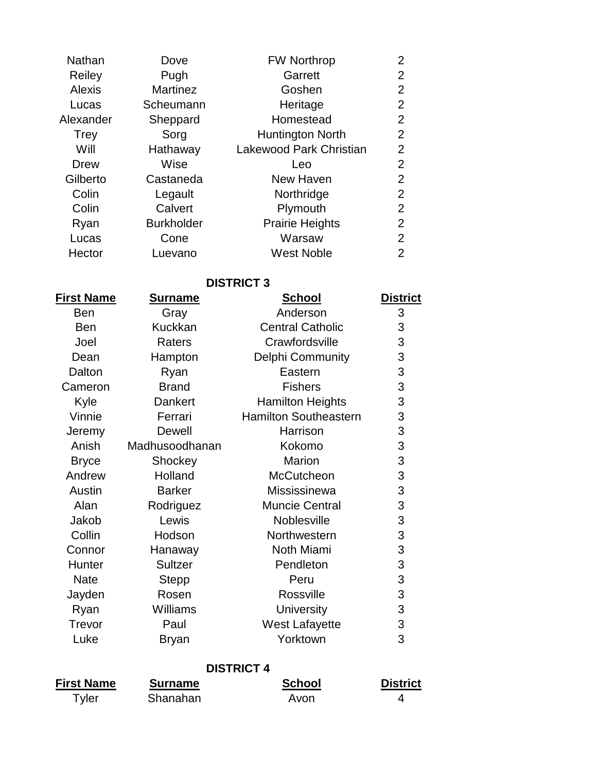| <b>Nathan</b> | Dove              | <b>FW Northrop</b>      | $\overline{2}$ |
|---------------|-------------------|-------------------------|----------------|
| Reiley        | Pugh              | Garrett                 | 2              |
| <b>Alexis</b> | <b>Martinez</b>   | Goshen                  | $\overline{2}$ |
| Lucas         | Scheumann         | Heritage                | 2              |
| Alexander     | Sheppard          | Homestead               | 2              |
| <b>Trey</b>   | Sorg              | Huntington North        | $\overline{2}$ |
| Will          | Hathaway          | Lakewood Park Christian | 2              |
| <b>Drew</b>   | Wise              | Leo                     | 2              |
| Gilberto      | Castaneda         | New Haven               | $\overline{2}$ |
| Colin         | Legault           | Northridge              | $\overline{2}$ |
| Colin         | Calvert           | Plymouth                | $\overline{2}$ |
| Ryan          | <b>Burkholder</b> | <b>Prairie Heights</b>  | $\overline{2}$ |
| Lucas         | Cone              | Warsaw                  | $\overline{2}$ |
| Hector        | Luevano           | <b>West Noble</b>       | 2              |

#### **DISTRICT 3**

| <u>Surname</u> | <u>School</u>                | <u>District</u> |
|----------------|------------------------------|-----------------|
| Gray           | Anderson                     | 3               |
| <b>Kuckkan</b> | <b>Central Catholic</b>      | 3               |
| Raters         | Crawfordsville               | 3               |
| Hampton        | Delphi Community             | 3               |
| Ryan           | Eastern                      | 3               |
| <b>Brand</b>   | <b>Fishers</b>               | 3               |
| <b>Dankert</b> | <b>Hamilton Heights</b>      | 3               |
| Ferrari        | <b>Hamilton Southeastern</b> | 3               |
| Dewell         | Harrison                     | 3               |
| Madhusoodhanan | Kokomo                       | 3               |
| Shockey        | <b>Marion</b>                | 3               |
| Holland        | McCutcheon                   | 3               |
| <b>Barker</b>  | Mississinewa                 | 3               |
| Rodriguez      | <b>Muncie Central</b>        | 3               |
| Lewis          | Noblesville                  | 3               |
| Hodson         | Northwestern                 | 3               |
| Hanaway        | Noth Miami                   | 3               |
| <b>Sultzer</b> | Pendleton                    | 3               |
| <b>Stepp</b>   | Peru                         | 3               |
| Rosen          | Rossville                    | 3               |
| Williams       | <b>University</b>            | 3               |
| Paul           | <b>West Lafayette</b>        | 3               |
| <b>Bryan</b>   | Yorktown                     | 3               |
|                |                              |                 |

## **DISTRICT 4**

| <b>First Name</b> | <b>Surname</b> | <b>School</b> | <b>District</b> |
|-------------------|----------------|---------------|-----------------|
| Tyler             | Shanahan       | Avon          |                 |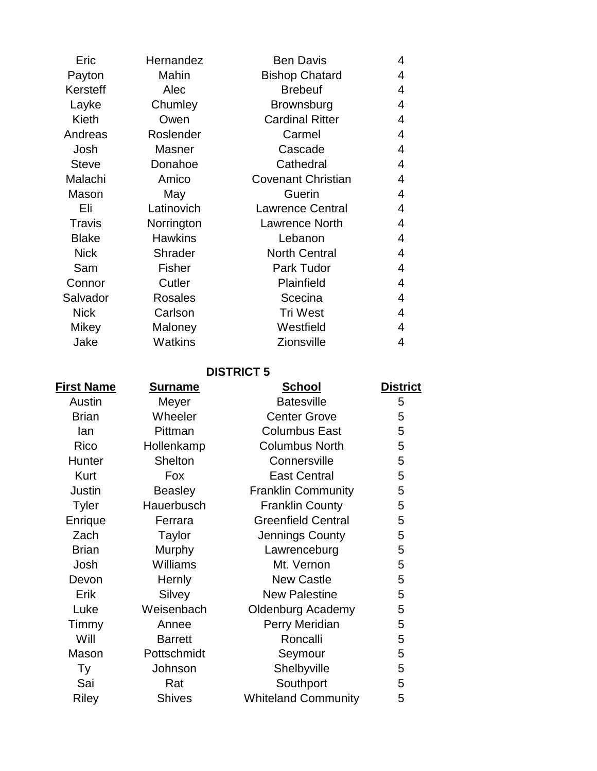| Eric         | Hernandez      | <b>Ben Davis</b>          | 4 |
|--------------|----------------|---------------------------|---|
| Payton       | Mahin          | <b>Bishop Chatard</b>     | 4 |
| Kersteff     | Alec           | <b>Brebeuf</b>            | 4 |
| Layke        | Chumley        | <b>Brownsburg</b>         | 4 |
| Kieth        | Owen           | <b>Cardinal Ritter</b>    | 4 |
| Andreas      | Roslender      | Carmel                    | 4 |
| Josh         | <b>Masner</b>  | Cascade                   | 4 |
| <b>Steve</b> | Donahoe        | Cathedral                 | 4 |
| Malachi      | Amico          | <b>Covenant Christian</b> | 4 |
| Mason        | May            | Guerin                    | 4 |
| Eli          | Latinovich     | <b>Lawrence Central</b>   | 4 |
| Travis       | Norrington     | Lawrence North            | 4 |
| <b>Blake</b> | <b>Hawkins</b> | Lebanon                   | 4 |
| <b>Nick</b>  | <b>Shrader</b> | <b>North Central</b>      | 4 |
| Sam          | <b>Fisher</b>  | Park Tudor                | 4 |
| Connor       | Cutler         | Plainfield                | 4 |
| Salvador     | <b>Rosales</b> | Scecina                   | 4 |
| <b>Nick</b>  | Carlson        | <b>Tri West</b>           | 4 |
| Mikey        | Maloney        | Westfield                 | 4 |
| Jake         | Watkins        | <b>Zionsville</b>         | 4 |

## **DISTRICT 5**

| <u>First Name</u> | <u>Surname</u> | <b>School</b>              | <b>District</b> |
|-------------------|----------------|----------------------------|-----------------|
| Austin            | Meyer          | <b>Batesville</b>          | 5               |
| <b>Brian</b>      | Wheeler        | <b>Center Grove</b>        | 5               |
| lan               | Pittman        | <b>Columbus East</b>       | 5               |
| Rico              | Hollenkamp     | <b>Columbus North</b>      | 5               |
| Hunter            | Shelton        | Connersville               | 5               |
| Kurt              | Fox            | <b>East Central</b>        | 5               |
| Justin            | <b>Beasley</b> | <b>Franklin Community</b>  | 5               |
| <b>Tyler</b>      | Hauerbusch     | <b>Franklin County</b>     | 5               |
| Enrique           | Ferrara        | <b>Greenfield Central</b>  | 5               |
| Zach              | <b>Taylor</b>  | Jennings County            | 5               |
| <b>Brian</b>      | Murphy         | Lawrenceburg               | 5               |
| Josh              | Williams       | Mt. Vernon                 | 5               |
| Devon             | Hernly         | <b>New Castle</b>          | 5               |
| Erik              | Silvey         | <b>New Palestine</b>       | 5               |
| Luke              | Weisenbach     | <b>Oldenburg Academy</b>   | 5               |
| Timmy             | Annee          | Perry Meridian             | 5               |
| Will              | <b>Barrett</b> | Roncalli                   | 5               |
| Mason             | Pottschmidt    | Seymour                    | 5               |
| Ty                | Johnson        | Shelbyville                | 5               |
| Sai               | Rat            | Southport                  | 5               |
| <b>Riley</b>      | <b>Shives</b>  | <b>Whiteland Community</b> | 5               |